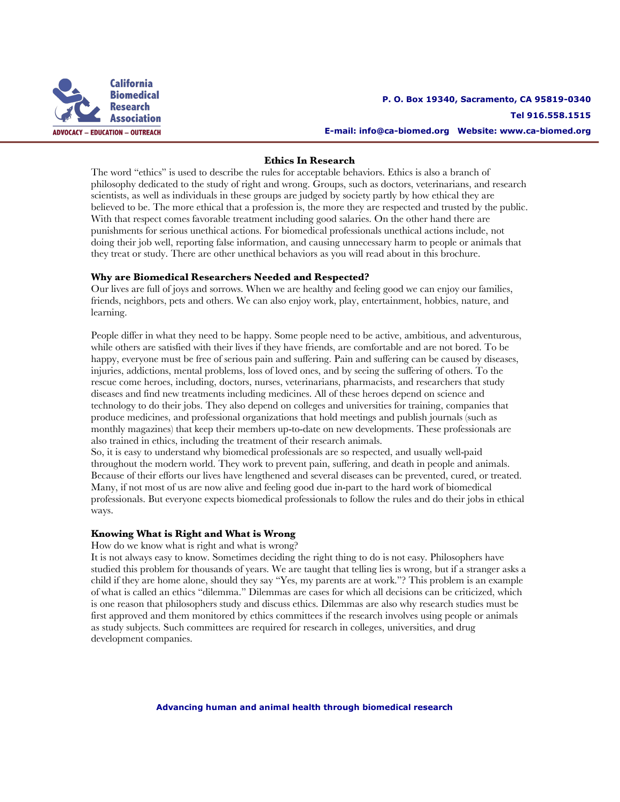

### **Ethics In Research**

The word "ethics" is used to describe the rules for acceptable behaviors. Ethics is also a branch of philosophy dedicated to the study of right and wrong. Groups, such as doctors, veterinarians, and research scientists, as well as individuals in these groups are judged by society partly by how ethical they are believed to be. The more ethical that a profession is, the more they are respected and trusted by the public. With that respect comes favorable treatment including good salaries. On the other hand there are punishments for serious unethical actions. For biomedical professionals unethical actions include, not doing their job well, reporting false information, and causing unnecessary harm to people or animals that they treat or study. There are other unethical behaviors as you will read about in this brochure.

#### **Why are Biomedical Researchers Needed and Respected?**

Our lives are full of joys and sorrows. When we are healthy and feeling good we can enjoy our families, friends, neighbors, pets and others. We can also enjoy work, play, entertainment, hobbies, nature, and learning.

People differ in what they need to be happy. Some people need to be active, ambitious, and adventurous, while others are satisfied with their lives if they have friends, are comfortable and are not bored. To be happy, everyone must be free of serious pain and suffering. Pain and suffering can be caused by diseases, injuries, addictions, mental problems, loss of loved ones, and by seeing the suffering of others. To the rescue come heroes, including, doctors, nurses, veterinarians, pharmacists, and researchers that study diseases and find new treatments including medicines. All of these heroes depend on science and technology to do their jobs. They also depend on colleges and universities for training, companies that produce medicines, and professional organizations that hold meetings and publish journals (such as monthly magazines) that keep their members up-to-date on new developments. These professionals are also trained in ethics, including the treatment of their research animals.

So, it is easy to understand why biomedical professionals are so respected, and usually well-paid throughout the modern world. They work to prevent pain, suffering, and death in people and animals. Because of their efforts our lives have lengthened and several diseases can be prevented, cured, or treated. Many, if not most of us are now alive and feeling good due in-part to the hard work of biomedical professionals. But everyone expects biomedical professionals to follow the rules and do their jobs in ethical ways.

### **Knowing What is Right and What is Wrong**

### How do we know what is right and what is wrong?

It is not always easy to know. Sometimes deciding the right thing to do is not easy. Philosophers have studied this problem for thousands of years. We are taught that telling lies is wrong, but if a stranger asks a child if they are home alone, should they say "Yes, my parents are at work."? This problem is an example of what is called an ethics "dilemma." Dilemmas are cases for which all decisions can be criticized, which is one reason that philosophers study and discuss ethics. Dilemmas are also why research studies must be first approved and them monitored by ethics committees if the research involves using people or animals as study subjects. Such committees are required for research in colleges, universities, and drug development companies.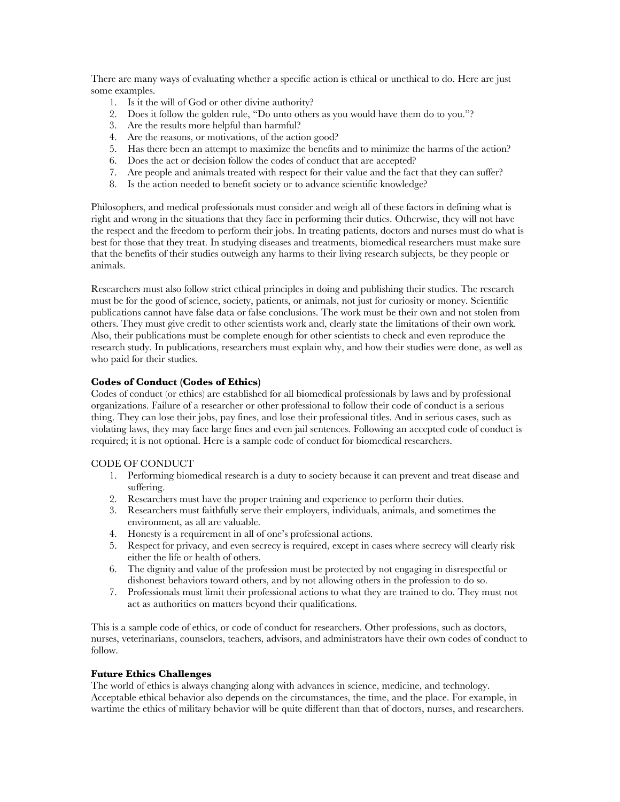There are many ways of evaluating whether a specific action is ethical or unethical to do. Here are just some examples.

- 1. Is it the will of God or other divine authority?
- 2. Does it follow the golden rule, "Do unto others as you would have them do to you."?
- 3. Are the results more helpful than harmful?
- 4. Are the reasons, or motivations, of the action good?
- 5. Has there been an attempt to maximize the benefits and to minimize the harms of the action?
- 6. Does the act or decision follow the codes of conduct that are accepted?
- 7. Are people and animals treated with respect for their value and the fact that they can suffer?
- 8. Is the action needed to benefit society or to advance scientific knowledge?

Philosophers, and medical professionals must consider and weigh all of these factors in defining what is right and wrong in the situations that they face in performing their duties. Otherwise, they will not have the respect and the freedom to perform their jobs. In treating patients, doctors and nurses must do what is best for those that they treat. In studying diseases and treatments, biomedical researchers must make sure that the benefits of their studies outweigh any harms to their living research subjects, be they people or animals.

Researchers must also follow strict ethical principles in doing and publishing their studies. The research must be for the good of science, society, patients, or animals, not just for curiosity or money. Scientific publications cannot have false data or false conclusions. The work must be their own and not stolen from others. They must give credit to other scientists work and, clearly state the limitations of their own work. Also, their publications must be complete enough for other scientists to check and even reproduce the research study. In publications, researchers must explain why, and how their studies were done, as well as who paid for their studies.

# **Codes of Conduct (Codes of Ethics)**

Codes of conduct (or ethics) are established for all biomedical professionals by laws and by professional organizations. Failure of a researcher or other professional to follow their code of conduct is a serious thing. They can lose their jobs, pay fines, and lose their professional titles. And in serious cases, such as violating laws, they may face large fines and even jail sentences. Following an accepted code of conduct is required; it is not optional. Here is a sample code of conduct for biomedical researchers.

### CODE OF CONDUCT

- 1. Performing biomedical research is a duty to society because it can prevent and treat disease and suffering.
- 2. Researchers must have the proper training and experience to perform their duties.
- 3. Researchers must faithfully serve their employers, individuals, animals, and sometimes the environment, as all are valuable.
- 4. Honesty is a requirement in all of one's professional actions.
- 5. Respect for privacy, and even secrecy is required, except in cases where secrecy will clearly risk either the life or health of others.
- 6. The dignity and value of the profession must be protected by not engaging in disrespectful or dishonest behaviors toward others, and by not allowing others in the profession to do so.
- 7. Professionals must limit their professional actions to what they are trained to do. They must not act as authorities on matters beyond their qualifications.

This is a sample code of ethics, or code of conduct for researchers. Other professions, such as doctors, nurses, veterinarians, counselors, teachers, advisors, and administrators have their own codes of conduct to follow.

# **Future Ethics Challenges**

The world of ethics is always changing along with advances in science, medicine, and technology. Acceptable ethical behavior also depends on the circumstances, the time, and the place. For example, in wartime the ethics of military behavior will be quite different than that of doctors, nurses, and researchers.